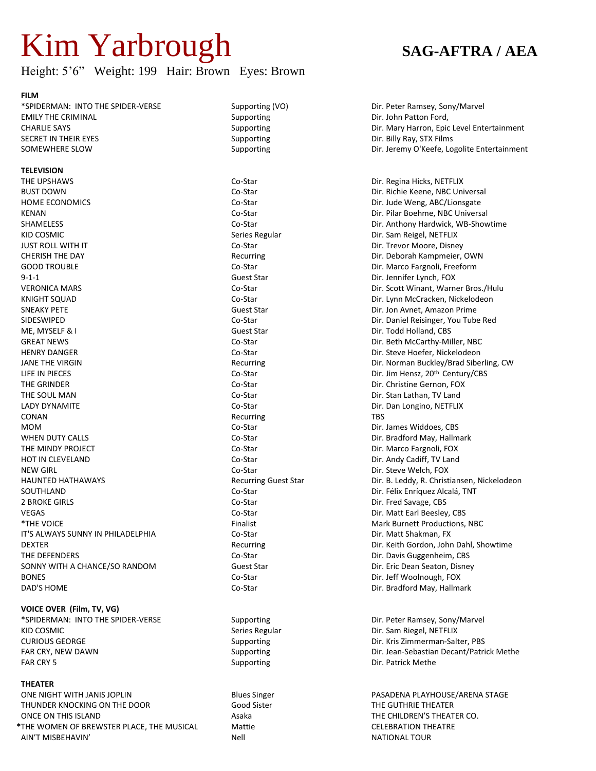# Kim Yarbrough **SAG-AFTRA / AEA**

## Height: 5'6" Weight: 199 Hair: Brown Eyes: Brown

#### **FILM**

\*SPIDERMAN: INTO THE SPIDER-VERSE Supporting (VO) Dir. Peter Ramsey, Sony/Marvel EMILY THE CRIMINAL **EXAMPLE 2008** Supporting COMIC Supporting Dir. John Patton Ford, SECRET IN THEIR EYES **Supporting** Supporting **Supporting** Dir. Billy Ray, STX Films

#### **TELEVISION**

THE UPSHAWS **Co-Star Community Community Community** Co-Star Co-Star Community Dir. Regina Hicks, NETFLIX BUST DOWN Co-Star Co-Star Dir. Richie Keene, NBC Universal HOME ECONOMICS **CO-Star** Co-Star Dir. Jude Weng, ABC/Lionsgate KENAN CO-Star Co-Star Dir. Pilar Boehme, NBC Universal KID COSMIC SERIES Regular Series Regular Series Regular Series Regular Dir. Sam Reigel, NETFLIX JUST ROLL WITH IT Co-Star Dir. Trevor Moore, Disney CHERISH THE DAY **CHERISH THE DAY** Recurring **Recurring CHERISH THE DAY** ON DEAL OF DEBORAH KAMP ON DEAL OF DEAL OWN GOOD TROUBLE **CO-Star Co-Star Co-Star Co-Star Co-Star** Dir. Marco Fargnoli, Freeform 9-1-1 Guest Star Dir. Jennifer Lynch, FOX KNIGHT SQUAD Co-Star Co-Star Dir. Lynn McCracken, Nickelodeon SNEAKY PETE Guest Star Dir. Jon Avnet, Amazon Prime SIDESWIPED Co-Star Dir. Daniel Reisinger, You Tube Red ME, MYSELF & I Guest Star Dir. Todd Holland, CBS GREAT NEWS GREAT NEWS Co-Star Co-Star Co-Star Dir. Beth McCarthy-Miller, NBC HENRY DANGER Co-Star Dir. Steve Hoefer, Nickelodeon LIFE IN PIECES Co-Star Dir. Jim Hensz, 20th Century/CBS THE GRINDER **CO-Star** Co-Star **CO-Star Dir. Christine Gernon, FOX** THE SOUL MAN Co-Star Co-Star Dir. Stan Lathan, TV Land LADY DYNAMITE **Co-Star** Co-Star Dir. Dan Longino, NETFLIX **CONAN** TBS **CONAN** MOM Co-Star Constant Communication Communication Communication Communication Communication Communication Communication Communication Communication Communication Communication Communication Communication Communication Commu WHEN DUTY CALLS **CO-Star** Co-Star Co-Star Dir. Bradford May, Hallmark THE MINDY PROJECT **CO-Star** Co-Star Co-Star Dir. Marco Fargnoli, FOX HOT IN CLEVELAND **CO-Star** Co-Star **Co-Star** Dir. Andy Cadiff, TV Land NEW GIRL Co-Star Co-Star Dir. Steve Welch, FOX SOUTHLAND Co-Star Dir. Félix Enríquez Alcalá, TNT 2 BROKE GIRLS CO-Star Co-Star Co-Star Dir. Fred Savage, CBS VEGAS Co-Star Dir. Matt Earl Beesley, CBS \*THE VOICE Finalist Mark Burnett Productions, NBC IT'S ALWAYS SUNNY IN PHILADELPHIA Co-Star Co-Star Dir. Matt Shakman, FX THE DEFENDERS **Co-Star Co-Star Co-Star Co-Star** Dir. Davis Guggenheim, CBS SONNY WITH A CHANCE/SO RANDOM Guest Star Guest Star Bir. Eric Dean Seaton, Disney BONES **BONES BONES Co-Star Co-Star Co-Star Dir. Jeff Woolnough, FOX** 

**VOICE OVER (Film, TV, VG)** \*SPIDERMAN: INTO THE SPIDER-VERSE Supporting Supporting Dir. Peter Ramsey, Sony/Marvel KID COSMIC SERIES Regular Series Regular Series Regular Series Regular Dir. Sam Riegel, NETFLIX CURIOUS GEORGE Supporting Supporting Supporting Dir. Kris Zimmerman-Salter, PBS FAR CRY 5 Supporting Supporting Dir. Patrick Methe

#### **THEATER**

ONE NIGHT WITH JANIS JOPLIN **Example 20 State Accept Accept Accept Accept Accept Accept Accept Accept Accept Accept** THUNDER KNOCKING ON THE DOOR Good Sister Good Sister THE GUTHRIE THEATER ONCE ON THIS ISLAND **Asaka** Asaka THE CHILDREN'S THEATER CO. \*THE WOMEN OF BREWSTER PLACE, THE MUSICAL Mattie Mattie CELEBRATION THEATRE AIN'T MISBEHAVIN' Nell NATIONAL TOUR

CHARLIE SAYS **Supporting** Supporting **CHARLIE SAYS** Supporting Dir. Mary Harron, Epic Level Entertainment SOMEWHERE SLOW SUPPORTING Supporting Supporting Dir. Jeremy O'Keefe, Logolite Entertainment

SHAMELESS **Co-Star Community Community Community** Co-Star **Community Community Community Community Community Community Community Community Dir. Anthony Hardwick, WB-Showtime** VERONICA MARS Co-Star Dir. Scott Winant, Warner Bros./Hulu JANE THE VIRGIN THE VIRGIN RECULS AND RECULS AND RECULS ARE CULTURE OF THE VIRGIN DIRECULS AND RECULS AND RECULS ARE CULTURE OF THE SIDE OF THE VIRGIN CONTRACT OF THE VIRGIN OF THE VIRGIN OF THE VIRGIN DIRECULS AND RECULS HAUNTED HATHAWAYS Recurring Guest Star Dir. B. Leddy, R. Christiansen, Nickelodeon DEXTER Recurring Dir. Keith Gordon, John Dahl, Showtime DAD'S HOME **Co-Star Co-Star Co-Star Dir. Bradford May**, Hallmark

FAR CRY, NEW DAWN **Supporting Supporting CRY, NEW Dir. Jean-Sebastian Decant/Patrick Methe**